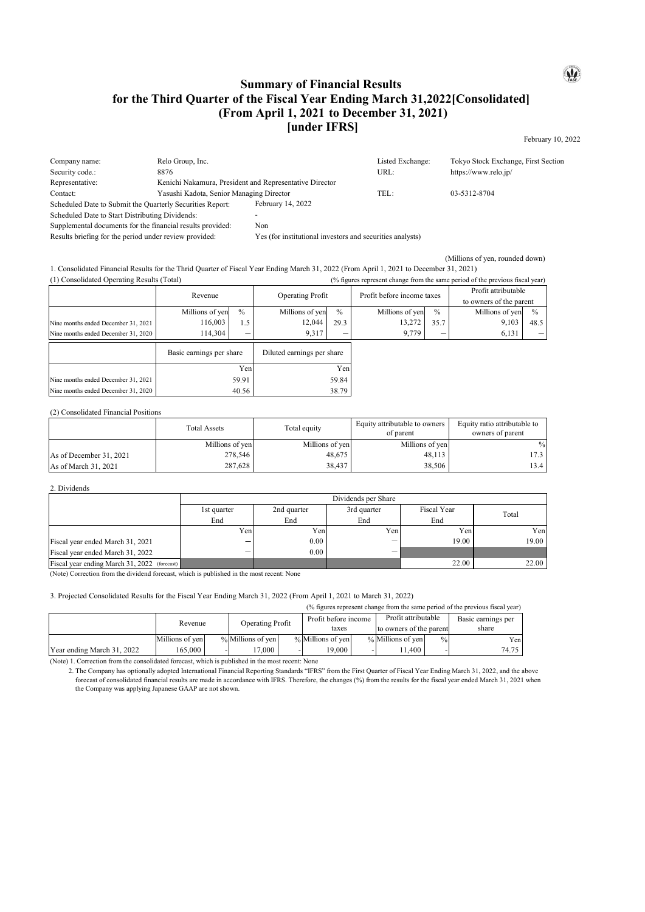## **Summary of Financial Results for the Third Quarter of the Fiscal Year Ending March 31,2022[Consolidated] (From April 1, 2021 to December 31, 2021) [under IFRS]**

February 10, 2022

 $\mathbf{Q}$ 

| Company name:                                              | Relo Group, Inc.                                        |                                                           | Listed Exchange: | Tokyo Stock Exchange, First Section |  |
|------------------------------------------------------------|---------------------------------------------------------|-----------------------------------------------------------|------------------|-------------------------------------|--|
| Security code.:                                            | 8876                                                    |                                                           | URL:             | https://www.relo.jp/                |  |
| Representative:                                            | Kenichi Nakamura, President and Representative Director |                                                           |                  |                                     |  |
| Contact:                                                   | Yasushi Kadota, Senior Managing Director                |                                                           | TEL:             | 03-5312-8704                        |  |
| Scheduled Date to Submit the Quarterly Securities Report:  |                                                         | February 14, 2022                                         |                  |                                     |  |
| Scheduled Date to Start Distributing Dividends:            |                                                         |                                                           |                  |                                     |  |
| Supplemental documents for the financial results provided: |                                                         | Non                                                       |                  |                                     |  |
| Results briefing for the period under review provided:     |                                                         | Yes (for institutional investors and securities analysts) |                  |                                     |  |

(Millions of yen, rounded down)

1. Consolidated Financial Results for the Thrid Quarter of Fiscal Year Ending March 31, 2022 (From April 1, 2021 to December 31, 2021)

| (1) Consolidated Operating Results (Total) |                          |       |                            |       |                            | (% figures represent change from the same period of the previous fiscal year) |                         |               |
|--------------------------------------------|--------------------------|-------|----------------------------|-------|----------------------------|-------------------------------------------------------------------------------|-------------------------|---------------|
|                                            | Revenue                  |       | <b>Operating Profit</b>    |       | Profit before income taxes |                                                                               | Profit attributable     |               |
|                                            |                          |       |                            |       |                            |                                                                               | to owners of the parent |               |
|                                            | Millions of yen          | $\%$  | Millions of yen            | $\%$  | Millions of yen            | $\frac{0}{0}$                                                                 | Millions of yen         | $\frac{0}{0}$ |
| Nine months ended December 31, 2021        | 116,003                  | 1.5   | 12,044                     | 29.3  | 13,272                     | 35.7                                                                          | 9,103                   | 48.5          |
| Nine months ended December 31, 2020        | 114,304                  | —     | 9,317                      |       | 9,779                      |                                                                               | 6,131                   |               |
|                                            | Basic earnings per share |       | Diluted earnings per share |       |                            |                                                                               |                         |               |
|                                            |                          | Yen   |                            | Yen   |                            |                                                                               |                         |               |
| Nine months ended December 31, 2021        |                          | 59.91 |                            | 59.84 |                            |                                                                               |                         |               |
| Nine months ended December 31, 2020        |                          | 40.56 |                            | 38.79 |                            |                                                                               |                         |               |

(2) Consolidated Financial Positions

|                         | <b>Total Assets</b> | Total equity    | Equity attributable to owners<br>of parent | Equity ratio attributable to<br>owners of parent |
|-------------------------|---------------------|-----------------|--------------------------------------------|--------------------------------------------------|
|                         | Millions of yen     | Millions of yen | Millions of yen                            | $\%$                                             |
| As of December 31, 2021 | 278,546             | 48.675          | 48,113                                     | 17.3                                             |
| As of March 31, 2021    | 287,628             | 38,437          | 38,506                                     | 13.4                                             |

### 2. Dividends

|                                              |             | Dividends per Share |             |             |       |  |  |  |
|----------------------------------------------|-------------|---------------------|-------------|-------------|-------|--|--|--|
|                                              | 1st quarter | 2nd quarter         | 3rd quarter | Fiscal Year | Total |  |  |  |
|                                              | End         | End                 | End         | End         |       |  |  |  |
|                                              | Yen         | Yenl                | Yen         | Yen         | Yen   |  |  |  |
| Fiscal year ended March 31, 2021             | _           | 0.00                |             | 19.00       | 19.00 |  |  |  |
| Fiscal year ended March 31, 2022             |             | 0.00                |             |             |       |  |  |  |
| Fiscal year ending March 31, 2022 (forecast) |             |                     |             | 22.00       | 22.00 |  |  |  |

(Note) Correction from the dividend forecast, which is published in the most recent: None

### 3. Projected Consolidated Results for the Fiscal Year Ending March 31, 2022 (From April 1, 2021 to March 31, 2022)

|                            |                 |  |                         |  |                      | (% figures represent change from the same period of the previous fiscal year) |                         |               |                    |
|----------------------------|-----------------|--|-------------------------|--|----------------------|-------------------------------------------------------------------------------|-------------------------|---------------|--------------------|
|                            | Revenue         |  | <b>Operating Profit</b> |  | Profit before income |                                                                               | Profit attributable     |               | Basic earnings per |
|                            |                 |  |                         |  | taxes                |                                                                               | to owners of the parent |               | share              |
|                            | Millions of yen |  | % Millions of yen       |  | % Millions of yen    |                                                                               | % Millions of yen       | $\frac{0}{0}$ | Yenl               |
| Year ending March 31, 2022 | 165,000         |  | .7000.                  |  | 19.000               |                                                                               | 1.400                   |               | 74.75              |

(Note) 1. Correction from the consolidated forecast, which is published in the most recent: None

 2. The Company has optionally adopted International Financial Reporting Standards "IFRS" from the First Quarter of Fiscal Year Ending March 31, 2022, and the above forecast of consolidated financial results are made in accordance with IFRS. Therefore, the changes (%) from the results for the fiscal year ended March 31, 2021 when the Company was applying Japanese GAAP are not shown.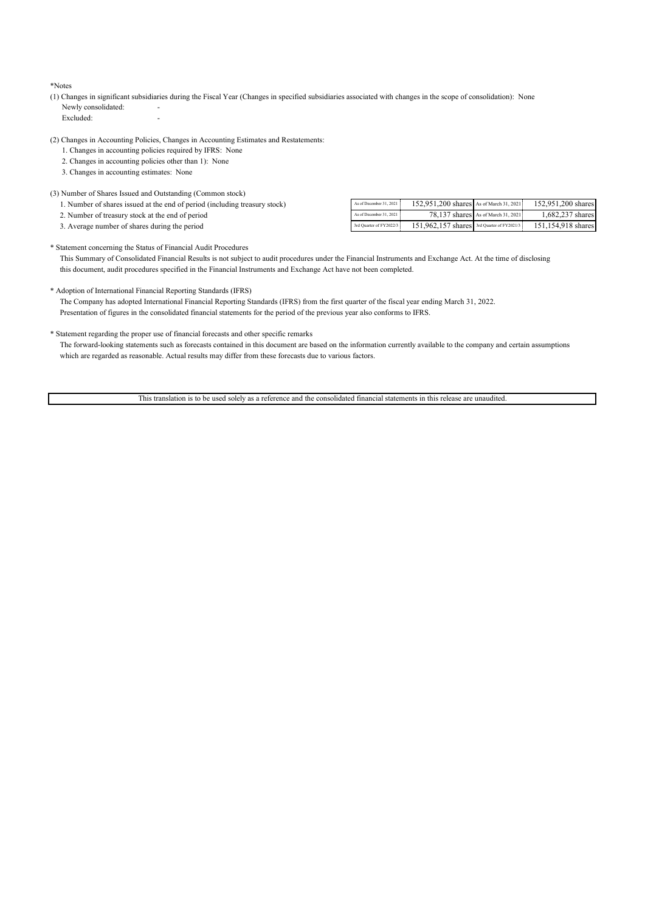\*Notes

(1) Changes in significant subsidiaries during the Fiscal Year (Changes in specified subsidiaries associated with changes in the scope of consolidation): None Newly consolidated:

Excluded:

- (2) Changes in Accounting Policies, Changes in Accounting Estimates and Restatements:
	- 1. Changes in accounting policies required by IFRS: None
	- 2. Changes in accounting policies other than 1): None
	- 3. Changes in accounting estimates: None

### (3) Number of Shares Issued and Outstanding (Common stock)

| 1. Number of shares issued at the end of period (including treasury stock) | As of December 31, 2021 152, 951, 200 sl |
|----------------------------------------------------------------------------|------------------------------------------|
|                                                                            |                                          |

- 2. Number of treasury stock at the end of period
- 3. Average number of shares during the period

| As of December 31, 2021   | 152,951,200 shares As of March 31, 2021    |                                    | 152,951,200 shares |
|---------------------------|--------------------------------------------|------------------------------------|--------------------|
| As of December 31, 2021 : |                                            | 78.137 shares As of March 31, 2021 | 1.682.237 shares   |
| 3rd Ouarter of FY2022/3   | 151.962.157 shares 3rd Quarter of FY2021/3 |                                    | 151.154.918 shares |

#### \* Statement concerning the Status of Financial Audit Procedures

 This Summary of Consolidated Financial Results is not subject to audit procedures under the Financial Instruments and Exchange Act. At the time of disclosing this document, audit procedures specified in the Financial Instruments and Exchange Act have not been completed.

### \* Adoption of International Financial Reporting Standards (IFRS)

 The Company has adopted International Financial Reporting Standards (IFRS) from the first quarter of the fiscal year ending March 31, 2022. Presentation of figures in the consolidated financial statements for the period of the previous year also conforms to IFRS.

### \* Statement regarding the proper use of financial forecasts and other specific remarks

 The forward-looking statements such as forecasts contained in this document are based on the information currently available to the company and certain assumptions which are regarded as reasonable. Actual results may differ from these forecasts due to various factors.

This translation is to be used solely as a reference and the consolidated financial statements in this release are unaudited.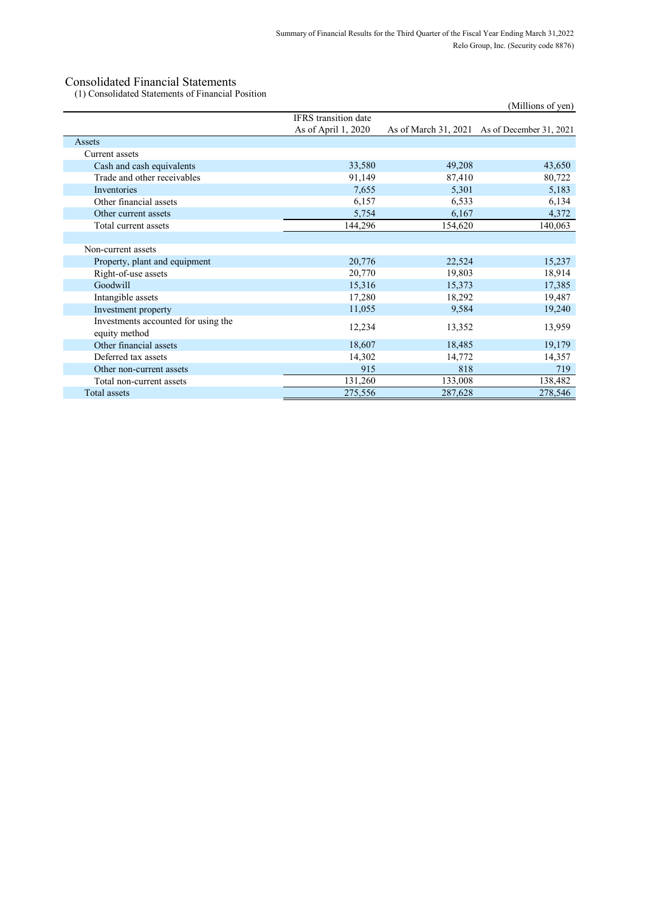(1) Consolidated Statements of Financial Position

|                                                      |                      |         | (Millions of yen)                            |
|------------------------------------------------------|----------------------|---------|----------------------------------------------|
|                                                      | IFRS transition date |         |                                              |
|                                                      | As of April 1, 2020  |         | As of March 31, 2021 As of December 31, 2021 |
| Assets                                               |                      |         |                                              |
| Current assets                                       |                      |         |                                              |
| Cash and cash equivalents                            | 33,580               | 49,208  | 43,650                                       |
| Trade and other receivables                          | 91,149               | 87,410  | 80,722                                       |
| Inventories                                          | 7,655                | 5,301   | 5,183                                        |
| Other financial assets                               | 6,157                | 6,533   | 6,134                                        |
| Other current assets                                 | 5,754                | 6,167   | 4,372                                        |
| Total current assets                                 | 144,296              | 154,620 | 140,063                                      |
|                                                      |                      |         |                                              |
| Non-current assets                                   |                      |         |                                              |
| Property, plant and equipment                        | 20,776               | 22,524  | 15,237                                       |
| Right-of-use assets                                  | 20,770               | 19,803  | 18,914                                       |
| Goodwill                                             | 15,316               | 15,373  | 17,385                                       |
| Intangible assets                                    | 17,280               | 18,292  | 19,487                                       |
| Investment property                                  | 11,055               | 9,584   | 19,240                                       |
| Investments accounted for using the<br>equity method | 12,234               | 13,352  | 13,959                                       |
| Other financial assets                               | 18,607               | 18,485  | 19,179                                       |
| Deferred tax assets                                  | 14,302               | 14,772  | 14,357                                       |
| Other non-current assets                             | 915                  | 818     | 719                                          |
| Total non-current assets                             | 131,260              | 133,008 | 138,482                                      |
| Total assets                                         | 275,556              | 287,628 | 278,546                                      |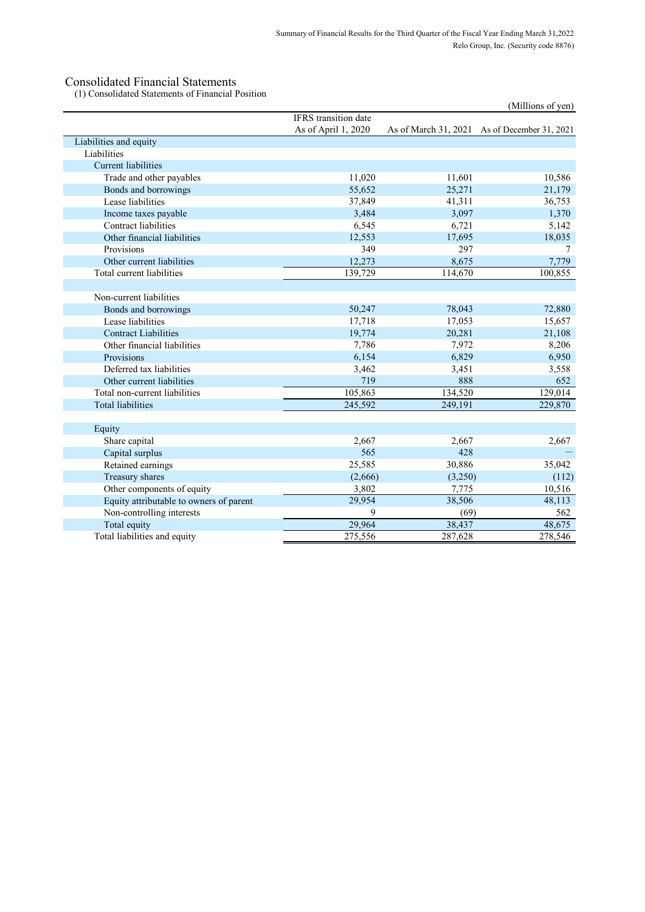(1) Consolidated Statements of Financial Position

|                                         |                             |         | (Millions of yen)                            |
|-----------------------------------------|-----------------------------|---------|----------------------------------------------|
|                                         | <b>IFRS</b> transition date |         |                                              |
|                                         | As of April 1, 2020         |         | As of March 31, 2021 As of December 31, 2021 |
| Liabilities and equity                  |                             |         |                                              |
| Liabilities                             |                             |         |                                              |
| <b>Current liabilities</b>              |                             |         |                                              |
| Trade and other payables                | 11,020                      | 11,601  | 10,586                                       |
| Bonds and borrowings                    | 55,652                      | 25,271  | 21,179                                       |
| Lease liabilities                       | 37,849                      | 41,311  | 36,753                                       |
| Income taxes payable                    | 3,484                       | 3,097   | 1,370                                        |
| Contract liabilities                    | 6,545                       | 6,721   | 5,142                                        |
| Other financial liabilities             | 12,553                      | 17,695  | 18,035                                       |
| Provisions                              | 349                         | 297     |                                              |
| Other current liabilities               | 12,273                      | 8,675   | 7,779                                        |
| Total current liabilities               | 139,729                     | 114,670 | 100,855                                      |
|                                         |                             |         |                                              |
| Non-current liabilities                 |                             |         |                                              |
| Bonds and borrowings                    | 50,247                      | 78,043  | 72,880                                       |
| Lease liabilities                       | 17,718                      | 17,053  | 15,657                                       |
| <b>Contract Liabilities</b>             | 19,774                      | 20,281  | 21,108                                       |
| Other financial liabilities             | 7,786                       | 7,972   | 8,206                                        |
| Provisions                              | 6,154                       | 6,829   | 6,950                                        |
| Deferred tax liabilities                | 3,462                       | 3,451   | 3,558                                        |
| Other current liabilities               | 719                         | 888     | 652                                          |
| Total non-current liabilities           | 105,863                     | 134,520 | 129,014                                      |
| <b>Total liabilities</b>                | 245,592                     | 249,191 | 229,870                                      |
|                                         |                             |         |                                              |
| Equity                                  |                             |         |                                              |
| Share capital                           | 2,667                       | 2,667   | 2,667                                        |
| Capital surplus                         | 565                         | 428     |                                              |
| Retained earnings                       | 25,585                      | 30,886  | 35,042                                       |
| Treasury shares                         | (2,666)                     | (3,250) | (112)                                        |
| Other components of equity              | 3,802                       | 7,775   | 10,516                                       |
| Equity attributable to owners of parent | 29,954                      | 38,506  | 48,113                                       |
| Non-controlling interests               | 9                           | (69)    | 562                                          |
| Total equity                            | 29,964                      | 38,437  | 48,675                                       |
| Total liabilities and equity            | 275,556                     | 287,628 | 278,546                                      |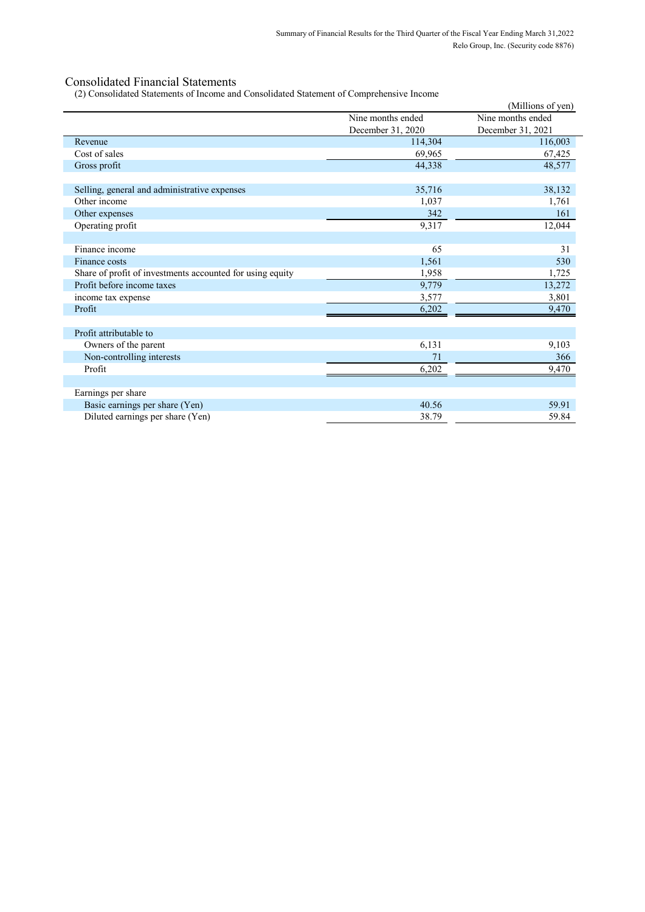(2) Consolidated Statements of Income and Consolidated Statement of Comprehensive Income

|                                                           | $(z)$ consolidated biatellicitis of fileofile and consolidated biatellicity of complements ive fileofile | (Millions of yen) |
|-----------------------------------------------------------|----------------------------------------------------------------------------------------------------------|-------------------|
|                                                           | Nine months ended                                                                                        | Nine months ended |
|                                                           | December 31, 2020                                                                                        | December 31, 2021 |
| Revenue                                                   | 114,304                                                                                                  | 116,003           |
| Cost of sales                                             | 69,965                                                                                                   | 67,425            |
| Gross profit                                              | 44,338                                                                                                   | 48,577            |
| Selling, general and administrative expenses              | 35,716                                                                                                   | 38,132            |
| Other income                                              | 1,037                                                                                                    | 1,761             |
| Other expenses                                            | 342                                                                                                      | 161               |
| Operating profit                                          | 9,317                                                                                                    | 12,044            |
| Finance income                                            | 65                                                                                                       | 31                |
| Finance costs                                             | 1,561                                                                                                    | 530               |
| Share of profit of investments accounted for using equity | 1,958                                                                                                    | 1,725             |
| Profit before income taxes                                | 9,779                                                                                                    | 13,272            |
| income tax expense                                        | 3,577                                                                                                    | 3,801             |
| Profit                                                    | 6,202                                                                                                    | 9,470             |
| Profit attributable to                                    |                                                                                                          |                   |
| Owners of the parent                                      | 6,131                                                                                                    | 9,103             |
| Non-controlling interests                                 | 71                                                                                                       | 366               |
| Profit                                                    | 6,202                                                                                                    | 9,470             |
| Earnings per share                                        |                                                                                                          |                   |
| Basic earnings per share (Yen)                            | 40.56                                                                                                    | 59.91             |
| Diluted earnings per share (Yen)                          | 38.79                                                                                                    | 59.84             |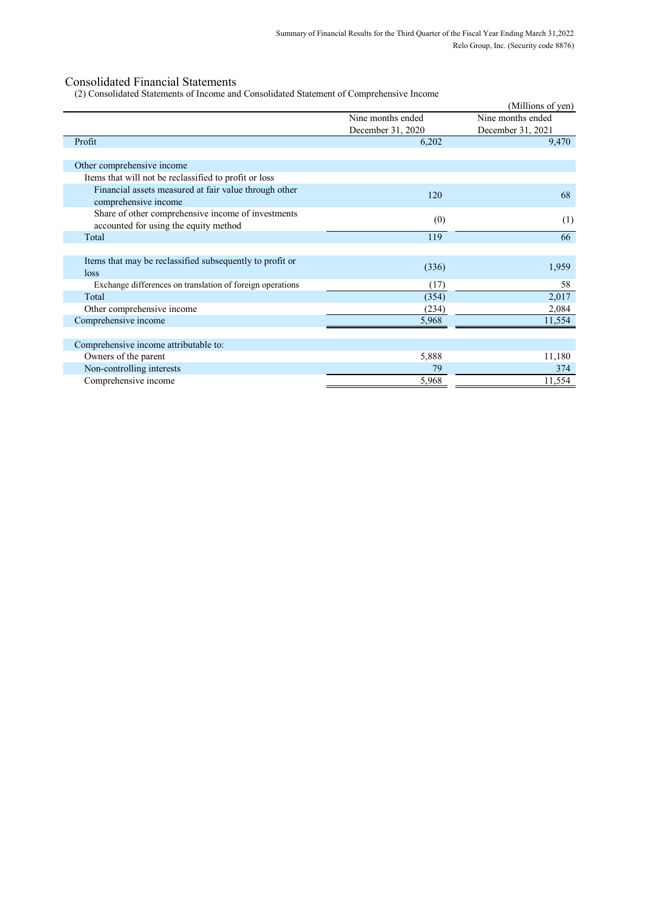(2) Consolidated Statements of Income and Consolidated Statement of Comprehensive Income

| $(z)$ consortingular statements of income and consortingular statement of comprenensive income |                   |                   |
|------------------------------------------------------------------------------------------------|-------------------|-------------------|
|                                                                                                |                   | (Millions of yen) |
|                                                                                                | Nine months ended | Nine months ended |
|                                                                                                | December 31, 2020 | December 31, 2021 |
| Profit                                                                                         | 6,202             | 9,470             |
| Other comprehensive income                                                                     |                   |                   |
| Items that will not be reclassified to profit or loss                                          |                   |                   |
| Financial assets measured at fair value through other<br>comprehensive income                  | 120               | 68                |
| Share of other comprehensive income of investments<br>accounted for using the equity method    | (0)               | (1)               |
| Total                                                                                          | 119               | 66                |
|                                                                                                |                   |                   |
| Items that may be reclassified subsequently to profit or<br>loss                               | (336)             | 1,959             |
| Exchange differences on translation of foreign operations                                      | (17)              | 58                |
| Total                                                                                          | (354)             | 2,017             |
| Other comprehensive income                                                                     | (234)             | 2,084             |
| Comprehensive income                                                                           | 5,968             | 11,554            |
|                                                                                                |                   |                   |
| Comprehensive income attributable to:                                                          |                   |                   |
| Owners of the parent                                                                           | 5,888             | 11,180            |
| Non-controlling interests                                                                      | 79                | 374               |
| Comprehensive income                                                                           | 5,968             | 11,554            |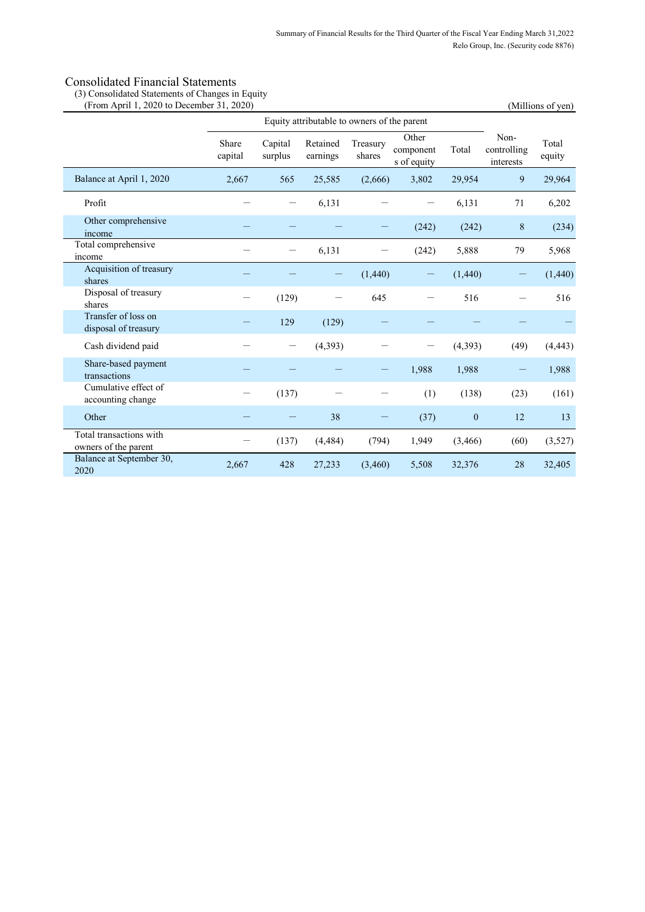(3) Consolidated Statements of Changes in Equity

| (From April 1, 2020 to December 31, 2020)       |                  |                    |                                             |                    |                                   |                  |                                  | (Millions of yen) |
|-------------------------------------------------|------------------|--------------------|---------------------------------------------|--------------------|-----------------------------------|------------------|----------------------------------|-------------------|
|                                                 |                  |                    | Equity attributable to owners of the parent |                    |                                   |                  |                                  |                   |
|                                                 | Share<br>capital | Capital<br>surplus | Retained<br>earnings                        | Treasury<br>shares | Other<br>component<br>s of equity | Total            | Non-<br>controlling<br>interests | Total<br>equity   |
| Balance at April 1, 2020                        | 2,667            | 565                | 25,585                                      | (2,666)            | 3,802                             | 29,954           | 9                                | 29,964            |
| Profit                                          |                  | —                  | 6,131                                       |                    |                                   | 6,131            | 71                               | 6,202             |
| Other comprehensive<br>income                   |                  |                    |                                             |                    | (242)                             | (242)            | 8                                | (234)             |
| Total comprehensive<br>income                   |                  |                    | 6,131                                       |                    | (242)                             | 5,888            | 79                               | 5,968             |
| Acquisition of treasury<br>shares               |                  |                    |                                             | (1,440)            | —                                 | (1,440)          |                                  | (1,440)           |
| Disposal of treasury<br>shares                  |                  | (129)              |                                             | 645                |                                   | 516              |                                  | 516               |
| Transfer of loss on<br>disposal of treasury     |                  | 129                | (129)                                       |                    |                                   |                  |                                  |                   |
| Cash dividend paid                              |                  | —                  | (4, 393)                                    |                    |                                   | (4, 393)         | (49)                             | (4, 443)          |
| Share-based payment<br>transactions             |                  |                    |                                             |                    | 1,988                             | 1,988            |                                  | 1,988             |
| Cumulative effect of<br>accounting change       |                  | (137)              |                                             |                    | (1)                               | (138)            | (23)                             | (161)             |
| Other                                           |                  |                    | 38                                          |                    | (37)                              | $\boldsymbol{0}$ | 12                               | 13                |
| Total transactions with<br>owners of the parent |                  | (137)              | (4, 484)                                    | (794)              | 1,949                             | (3,466)          | (60)                             | (3,527)           |
| Balance at September 30,<br>2020                | 2,667            | 428                | 27,233                                      | (3,460)            | 5,508                             | 32,376           | 28                               | 32,405            |